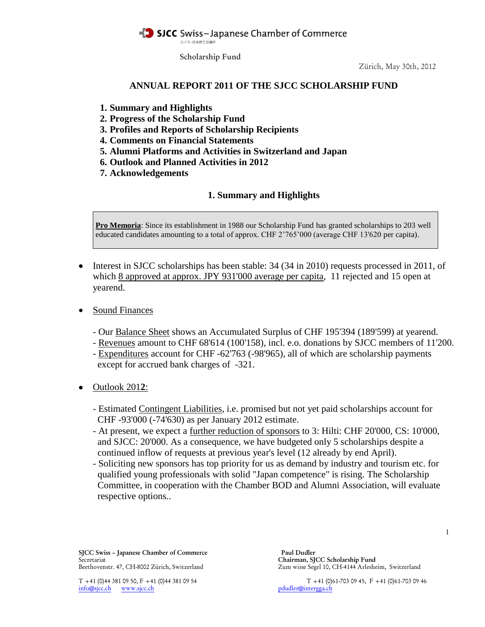SICC Swiss-Japanese Chamber of Commerce スイスー日本商工会議所

**Scholarship Fund**

Zürich, May 30th, 2012

# **ANNUAL REPORT 2011 OF THE SJCC SCHOLARSHIP FUND**

- **1. Summary and Highlights**
- **2. Progress of the Scholarship Fund**
- **3. Profiles and Reports of Scholarship Recipients**
- **4. Comments on Financial Statements**
- **5. Alumni Platforms and Activities in Switzerland and Japan**
- **6. Outlook and Planned Activities in 2012**
- **7. Acknowledgements**

## **1. Summary and Highlights**

**Pro Memoria**: Since its establishment in 1988 our Scholarship Fund has granted scholarships to 203 well educated candidates amounting to a total of approx. CHF 2'765'000 (average CHF 13'620 per capita).

- Interest in SJCC scholarships has been stable:  $34$  ( $34$  in 2010) requests processed in 2011, of which 8 approved at approx. JPY 931'000 average per capita, 11 rejected and 15 open at yearend.
- Sound Finances
	- Our Balance Sheet shows an Accumulated Surplus of CHF 195'394 (189'599) at yearend.
	- Revenues amount to CHF 68'614 (100'158), incl. e.o. donations by SJCC members of 11'200.
	- Expenditures account for CHF -62'763 (-98'965), all of which are scholarship payments except for accrued bank charges of -321.
- Outlook 201**2**:
	- Estimated Contingent Liabilities, i.e. promised but not yet paid scholarships account for CHF -93'000 (-74'630) as per January 2012 estimate.
	- At present, we expect a further reduction of sponsors to 3: Hilti: CHF 20'000, CS: 10'000, and SJCC: 20'000. As a consequence, we have budgeted only 5 scholarships despite a continued inflow of requests at previous year's level (12 already by end April).
	- Soliciting new sponsors has top priority for us as demand by industry and tourism etc. for qualified young professionals with solid "Japan competence" is rising. The Scholarship Committee, in cooperation with the Chamber BOD and Alumni Association, will evaluate respective options..

**SJCC Swiss – Japanese Chamber of Commerce Paul Dudler** Secretariat **Chairman, SJCC Scholarship Fund**

Beethovenstr. 47, CH-8002 Zürich, Switzerland Zum wisse Segel 10, CH-4144 Arlesheim, Switzerland

info@sjcc.ch www.sjcc.ch pdudler@intergga.ch

T +41 (0)44 381 09 50, F +41 (0)44 381 09 54 T +41 (0)61-703 09 45, F +41 (0)61-703 09 46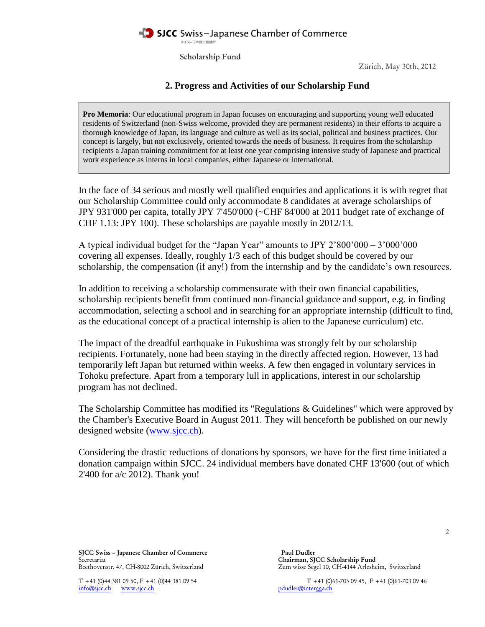### SJCC Swiss-Japanese Chamber of Commerce スイスー日本商工会議所

**Scholarship Fund**

Zürich, May 30th, 2012

# **2. Progress and Activities of our Scholarship Fund**

**Pro Memoria**: Our educational program in Japan focuses on encouraging and supporting young well educated residents of Switzerland (non-Swiss welcome, provided they are permanent residents) in their efforts to acquire a thorough knowledge of Japan, its language and culture as well as its social, political and business practices. Our concept is largely, but not exclusively, oriented towards the needs of business. It requires from the scholarship recipients a Japan training commitment for at least one year comprising intensive study of Japanese and practical work experience as interns in local companies, either Japanese or international.

In the face of 34 serious and mostly well qualified enquiries and applications it is with regret that our Scholarship Committee could only accommodate 8 candidates at average scholarships of JPY 931'000 per capita, totally JPY 7'450'000 (~CHF 84'000 at 2011 budget rate of exchange of CHF 1.13: JPY 100). These scholarships are payable mostly in 2012/13.

A typical individual budget for the "Japan Year" amounts to JPY 2'800'000 – 3'000'000 covering all expenses. Ideally, roughly 1/3 each of this budget should be covered by our scholarship, the compensation (if any!) from the internship and by the candidate's own resources.

In addition to receiving a scholarship commensurate with their own financial capabilities, scholarship recipients benefit from continued non-financial guidance and support, e.g. in finding accommodation, selecting a school and in searching for an appropriate internship (difficult to find, as the educational concept of a practical internship is alien to the Japanese curriculum) etc.

The impact of the dreadful earthquake in Fukushima was strongly felt by our scholarship recipients. Fortunately, none had been staying in the directly affected region. However, 13 had temporarily left Japan but returned within weeks. A few then engaged in voluntary services in Tohoku prefecture. Apart from a temporary lull in applications, interest in our scholarship program has not declined.

The Scholarship Committee has modified its "Regulations & Guidelines" which were approved by the Chamber's Executive Board in August 2011. They will henceforth be published on our newly designed website [\(www.sjcc.ch\)](http://www.sjcc.ch/).

Considering the drastic reductions of donations by sponsors, we have for the first time initiated a donation campaign within SJCC. 24 individual members have donated CHF 13'600 (out of which 2'400 for a/c 2012). Thank you!

**SJCC Swiss – Japanese Chamber of Commerce Paul Dudler** Secretariat **Chairman, SJCC Scholarship Fund**

info@sjcc.ch www.sjcc.ch pdudler@intergga.ch

Beethovenstr. 47, CH-8002 Zürich, Switzerland Zum wisse Segel 10, CH-4144 Arlesheim, Switzerland

T +41 (0)44 381 09 50, F +41 (0)44 381 09 54 T +41 (0)61-703 09 45, F +41 (0)61-703 09 46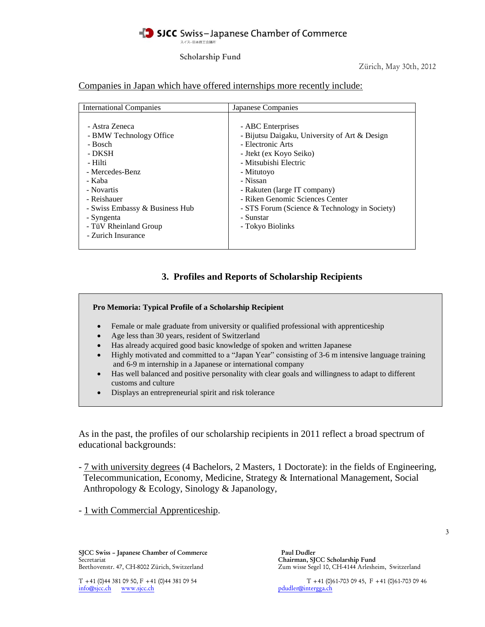### SICC Swiss-Japanese Chamber of Commerce スイスー日本商工会議所

**Scholarship Fund**

Zürich, May 30th, 2012

### Companies in Japan which have offered internships more recently include:

| <b>International Companies</b>                                                                                                                                                                                                     | Japanese Companies                                                                                                                                                                                                                                                                                                         |
|------------------------------------------------------------------------------------------------------------------------------------------------------------------------------------------------------------------------------------|----------------------------------------------------------------------------------------------------------------------------------------------------------------------------------------------------------------------------------------------------------------------------------------------------------------------------|
| - Astra Zeneca<br>- BMW Technology Office<br>- Bosch<br>- DKSH<br>- Hilti<br>- Mercedes-Benz<br>- Kaba<br>- Novartis<br>- Reishauer<br>- Swiss Embassy & Business Hub<br>- Syngenta<br>- TüV Rheinland Group<br>- Zurich Insurance | - ABC Enterprises<br>- Bijutsu Daigaku, University of Art & Design<br>- Electronic Arts<br>- Jtekt (ex Koyo Seiko)<br>- Mitsubishi Electric<br>- Mitutoyo<br>- Nissan<br>- Rakuten (large IT company)<br>- Riken Genomic Sciences Center<br>- STS Forum (Science & Technology in Society)<br>- Sunstar<br>- Tokyo Biolinks |

# **3. Profiles and Reports of Scholarship Recipients**

### **Pro Memoria: Typical Profile of a Scholarship Recipient**

- Female or male graduate from university or qualified professional with apprenticeship
- Age less than 30 years, resident of Switzerland
- Has already acquired good basic knowledge of spoken and written Japanese
- Highly motivated and committed to a "Japan Year" consisting of 3-6 m intensive language training and 6-9 m internship in a Japanese or international company
- Has well balanced and positive personality with clear goals and willingness to adapt to different customs and culture
- Displays an entrepreneurial spirit and risk tolerance

As in the past, the profiles of our scholarship recipients in 2011 reflect a broad spectrum of educational backgrounds:

- 7 with university degrees (4 Bachelors, 2 Masters, 1 Doctorate): in the fields of Engineering, Telecommunication, Economy, Medicine, Strategy & International Management, Social Anthropology & Ecology, Sinology & Japanology,

- 1 with Commercial Apprenticeship.

**SJCC Swiss – Japanese Chamber of Commerce Paul Dudler** Secretariat **Chairman, SJCC Scholarship Fund**

 $info@sjcc.ch$  www.sjcc.ch

Beethovenstr. 47, CH-8002 Zürich, Switzerland Zum wisse Segel 10, CH-4144 Arlesheim, Switzerland

T +41 (0)44 381 09 50, F +41 (0)44 381 09 54 T +41 (0)61-703 09 45, F +41 (0)61-703 09 46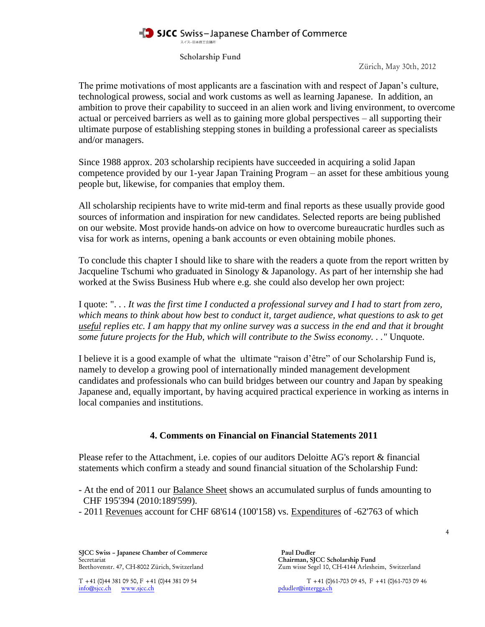### SJCC Swiss-Japanese Chamber of Commerce スイスー日本商工会議所

**Scholarship Fund**

Zürich, May 30th, 2012

The prime motivations of most applicants are a fascination with and respect of Japan's culture, technological prowess, social and work customs as well as learning Japanese. In addition, an ambition to prove their capability to succeed in an alien work and living environment, to overcome actual or perceived barriers as well as to gaining more global perspectives – all supporting their ultimate purpose of establishing stepping stones in building a professional career as specialists and/or managers.

Since 1988 approx. 203 scholarship recipients have succeeded in acquiring a solid Japan competence provided by our 1-year Japan Training Program – an asset for these ambitious young people but, likewise, for companies that employ them.

All scholarship recipients have to write mid-term and final reports as these usually provide good sources of information and inspiration for new candidates. Selected reports are being published on our website. Most provide hands-on advice on how to overcome bureaucratic hurdles such as visa for work as interns, opening a bank accounts or even obtaining mobile phones.

To conclude this chapter I should like to share with the readers a quote from the report written by Jacqueline Tschumi who graduated in Sinology & Japanology. As part of her internship she had worked at the Swiss Business Hub where e.g. she could also develop her own project:

I quote: ". . . *It was the first time I conducted a professional survey and I had to start from zero, which means to think about how best to conduct it, target audience, what questions to ask to get useful replies etc. I am happy that my online survey was a success in the end and that it brought some future projects for the Hub, which will contribute to the Swiss economy. . ."* Unquote.

I believe it is a good example of what the ultimate "raison d'être" of our Scholarship Fund is, namely to develop a growing pool of internationally minded management development candidates and professionals who can build bridges between our country and Japan by speaking Japanese and, equally important, by having acquired practical experience in working as interns in local companies and institutions.

# **4. Comments on Financial on Financial Statements 2011**

Please refer to the Attachment, i.e. copies of our auditors Deloitte AG's report & financial statements which confirm a steady and sound financial situation of the Scholarship Fund:

- At the end of 2011 our Balance Sheet shows an accumulated surplus of funds amounting to CHF 195'394 (2010:189'599).
- 2011 Revenues account for CHF 68'614 (100'158) vs. Expenditures of -62'763 of which

**SJCC Swiss – Japanese Chamber of Commerce Paul Dudler** Secretariat **Chairman, SJCC Scholarship Fund**<br>Beethovenstr. 47, CH-8002 Zürich, Switzerland **Chairman, SJCC Scholarship Fund**<br>Zum wisse Segel 10, CH-4144 Arleshe

Zum wisse Segel 10, CH-4144 Arlesheim, Switzerland

 $info@sjcc.ch$  www.sjcc.ch

T +41 (0)44 381 09 50, F +41 (0)44 381 09 54<br>  $\frac{1}{160\text{g}}$  T +41 (0)61-703 09 45, F +41 (0)61-703 09 46<br>  $\frac{1}{160\text{g}}$  pdudler@intergga.ch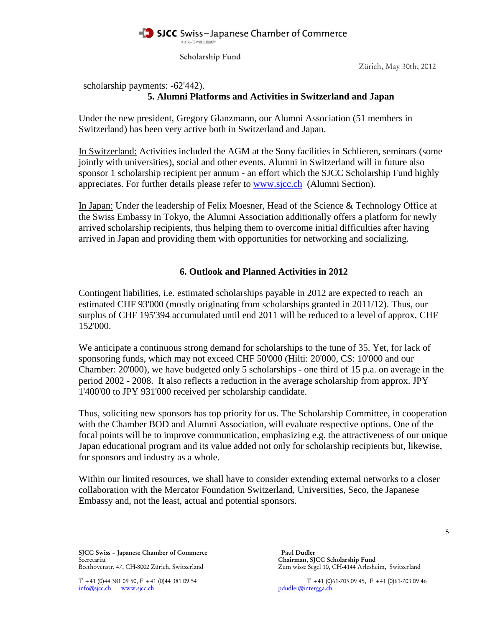

**Scholarship Fund**

Zürich, May 30th, 2012

scholarship payments: -62'442).

# **5. Alumni Platforms and Activities in Switzerland and Japan**

Under the new president, Gregory Glanzmann, our Alumni Association (51 members in Switzerland) has been very active both in Switzerland and Japan.

In Switzerland: Activities included the AGM at the Sony facilities in Schlieren, seminars (some jointly with universities), social and other events. Alumni in Switzerland will in future also sponsor 1 scholarship recipient per annum - an effort which the SJCC Scholarship Fund highly appreciates. For further details please refer to [www.sjcc.ch](http://www.sjcc.ch/) (Alumni Section).

In Japan: Under the leadership of Felix Moesner, Head of the Science & Technology Office at the Swiss Embassy in Tokyo, the Alumni Association additionally offers a platform for newly arrived scholarship recipients, thus helping them to overcome initial difficulties after having arrived in Japan and providing them with opportunities for networking and socializing.

## **6. Outlook and Planned Activities in 2012**

Contingent liabilities, i.e. estimated scholarships payable in 2012 are expected to reach an estimated CHF 93'000 (mostly originating from scholarships granted in 2011/12). Thus, our surplus of CHF 195'394 accumulated until end 2011 will be reduced to a level of approx. CHF 152'000.

We anticipate a continuous strong demand for scholarships to the tune of 35. Yet, for lack of sponsoring funds, which may not exceed CHF 50'000 (Hilti: 20'000, CS: 10'000 and our Chamber: 20'000), we have budgeted only 5 scholarships - one third of 15 p.a. on average in the period 2002 - 2008. It also reflects a reduction in the average scholarship from approx. JPY 1'400'00 to JPY 931'000 received per scholarship candidate.

Thus, soliciting new sponsors has top priority for us. The Scholarship Committee, in cooperation with the Chamber BOD and Alumni Association, will evaluate respective options. One of the focal points will be to improve communication, emphasizing e.g. the attractiveness of our unique Japan educational program and its value added not only for scholarship recipients but, likewise, for sponsors and industry as a whole.

Within our limited resources, we shall have to consider extending external networks to a closer collaboration with the Mercator Foundation Switzerland, Universities, Seco, the Japanese Embassy and, not the least, actual and potential sponsors.

**SJCC Swiss – Japanese Chamber of Commerce Paul Dudler** Secretariat **Chairman, SJCC Scholarship Fund**<br>Beethovenstr. 47, CH-8002 Zürich, Switzerland **Chairman, SJCC Scholarship Fund** 

 $info@sjcc.ch$  www.sjcc.ch

Zum wisse Segel 10, CH-4144 Arlesheim, Switzerland

T +41 (0)44 381 09 50, F +41 (0)44 381 09 54<br>  $\frac{1}{160\text{g}}$  T +41 (0)61-703 09 45, F +41 (0)61-703 09 46<br>  $\frac{1}{160\text{g}}$  reduction www.sjcc.ch

5